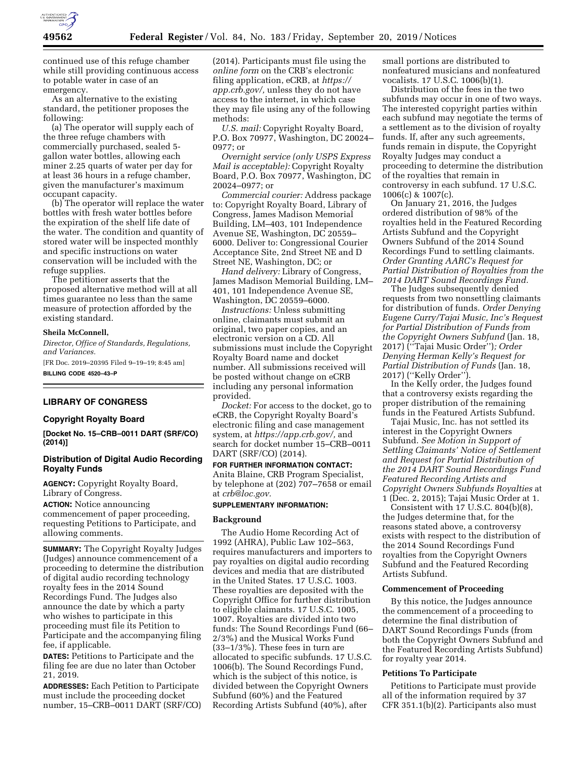

continued use of this refuge chamber while still providing continuous access to potable water in case of an emergency.

As an alternative to the existing standard, the petitioner proposes the following:

(a) The operator will supply each of the three refuge chambers with commercially purchased, sealed 5 gallon water bottles, allowing each miner 2.25 quarts of water per day for at least 36 hours in a refuge chamber, given the manufacturer's maximum occupant capacity.

(b) The operator will replace the water bottles with fresh water bottles before the expiration of the shelf life date of the water. The condition and quantity of stored water will be inspected monthly and specific instructions on water conservation will be included with the refuge supplies.

The petitioner asserts that the proposed alternative method will at all times guarantee no less than the same measure of protection afforded by the existing standard.

#### **Sheila McConnell,**

*Director, Office of Standards, Regulations, and Variances.* 

[FR Doc. 2019–20395 Filed 9–19–19; 8:45 am] **BILLING CODE 4520–43–P** 

# **LIBRARY OF CONGRESS**

#### **Copyright Royalty Board**

**[Docket No. 15–CRB–0011 DART (SRF/CO) (2014)]** 

# **Distribution of Digital Audio Recording Royalty Funds**

**AGENCY:** Copyright Royalty Board, Library of Congress.

**ACTION:** Notice announcing commencement of paper proceeding, requesting Petitions to Participate, and allowing comments.

**SUMMARY:** The Copyright Royalty Judges (Judges) announce commencement of a proceeding to determine the distribution of digital audio recording technology royalty fees in the 2014 Sound Recordings Fund. The Judges also announce the date by which a party who wishes to participate in this proceeding must file its Petition to Participate and the accompanying filing fee, if applicable.

**DATES:** Petitions to Participate and the filing fee are due no later than October 21, 2019.

**ADDRESSES:** Each Petition to Participate must include the proceeding docket number, 15–CRB–0011 DART (SRF/CO) (2014). Participants must file using the *online form* on the CRB's electronic filing application, eCRB, at *[https://](https://app.crb.gov/) [app.crb.gov/,](https://app.crb.gov/)* unless they do not have access to the internet, in which case they may file using any of the following methods:

*U.S. mail:* Copyright Royalty Board, P.O. Box 70977, Washington, DC 20024– 0977; or

*Overnight service (only USPS Express Mail is acceptable):* Copyright Royalty Board, P.O. Box 70977, Washington, DC 20024–0977; or

*Commercial courier:* Address package to: Copyright Royalty Board, Library of Congress, James Madison Memorial Building, LM–403, 101 Independence Avenue SE, Washington, DC 20559– 6000. Deliver to: Congressional Courier Acceptance Site, 2nd Street NE and D Street NE, Washington, DC; or

*Hand delivery:* Library of Congress, James Madison Memorial Building, LM– 401, 101 Independence Avenue SE, Washington, DC 20559–6000.

*Instructions:* Unless submitting online, claimants must submit an original, two paper copies, and an electronic version on a CD. All submissions must include the Copyright Royalty Board name and docket number. All submissions received will be posted without change on eCRB including any personal information provided.

*Docket:* For access to the docket, go to eCRB, the Copyright Royalty Board's electronic filing and case management system, at *[https://app.crb.gov/,](https://app.crb.gov/)* and search for docket number 15–CRB–0011 DART (SRF/CO) (2014).

**FOR FURTHER INFORMATION CONTACT:**  Anita Blaine, CRB Program Specialist, by telephone at (202) 707–7658 or email at *[crb@loc.gov.](mailto:crb@loc.gov)* 

### **SUPPLEMENTARY INFORMATION:**

# **Background**

The Audio Home Recording Act of 1992 (AHRA), Public Law 102–563, requires manufacturers and importers to pay royalties on digital audio recording devices and media that are distributed in the United States. 17 U.S.C. 1003. These royalties are deposited with the Copyright Office for further distribution to eligible claimants. 17 U.S.C. 1005, 1007. Royalties are divided into two funds: The Sound Recordings Fund (66– 2/3%) and the Musical Works Fund (33–1/3%). These fees in turn are allocated to specific subfunds. 17 U.S.C. 1006(b). The Sound Recordings Fund, which is the subject of this notice, is divided between the Copyright Owners Subfund (60%) and the Featured Recording Artists Subfund (40%), after

small portions are distributed to nonfeatured musicians and nonfeatured vocalists. 17 U.S.C. 1006(b)(1).

Distribution of the fees in the two subfunds may occur in one of two ways. The interested copyright parties within each subfund may negotiate the terms of a settlement as to the division of royalty funds. If, after any such agreements, funds remain in dispute, the Copyright Royalty Judges may conduct a proceeding to determine the distribution of the royalties that remain in controversy in each subfund. 17 U.S.C. 1006(c) & 1007(c).

On January 21, 2016, the Judges ordered distribution of 98% of the royalties held in the Featured Recording Artists Subfund and the Copyright Owners Subfund of the 2014 Sound Recordings Fund to settling claimants. *Order Granting AARC's Request for Partial Distribution of Royalties from the 2014 DART Sound Recordings Fund.* 

The Judges subsequently denied requests from two nonsettling claimants for distribution of funds. *Order Denying Eugene Curry/Tajai Music, Inc's Request for Partial Distribution of Funds from the Copyright Owners Subfund* (Jan. 18, 2017) (''Tajai Music Order'')*; Order Denying Herman Kelly's Request for Partial Distribution of Funds* (Jan. 18, 2017) (''Kelly Order'').

In the Kelly order, the Judges found that a controversy exists regarding the proper distribution of the remaining funds in the Featured Artists Subfund.

Tajai Music, Inc. has not settled its interest in the Copyright Owners Subfund. *See Motion in Support of Settling Claimants' Notice of Settlement and Request for Partial Distribution of the 2014 DART Sound Recordings Fund Featured Recording Artists and Copyright Owners Subfunds Royalties* at 1 (Dec. 2, 2015); Tajai Music Order at 1.

Consistent with 17 U.S.C. 804(b)(8), the Judges determine that, for the reasons stated above, a controversy exists with respect to the distribution of the 2014 Sound Recordings Fund royalties from the Copyright Owners Subfund and the Featured Recording Artists Subfund.

### **Commencement of Proceeding**

By this notice, the Judges announce the commencement of a proceeding to determine the final distribution of DART Sound Recordings Funds (from both the Copyright Owners Subfund and the Featured Recording Artists Subfund) for royalty year 2014.

### **Petitions To Participate**

Petitions to Participate must provide all of the information required by 37 CFR 351.1(b)(2). Participants also must